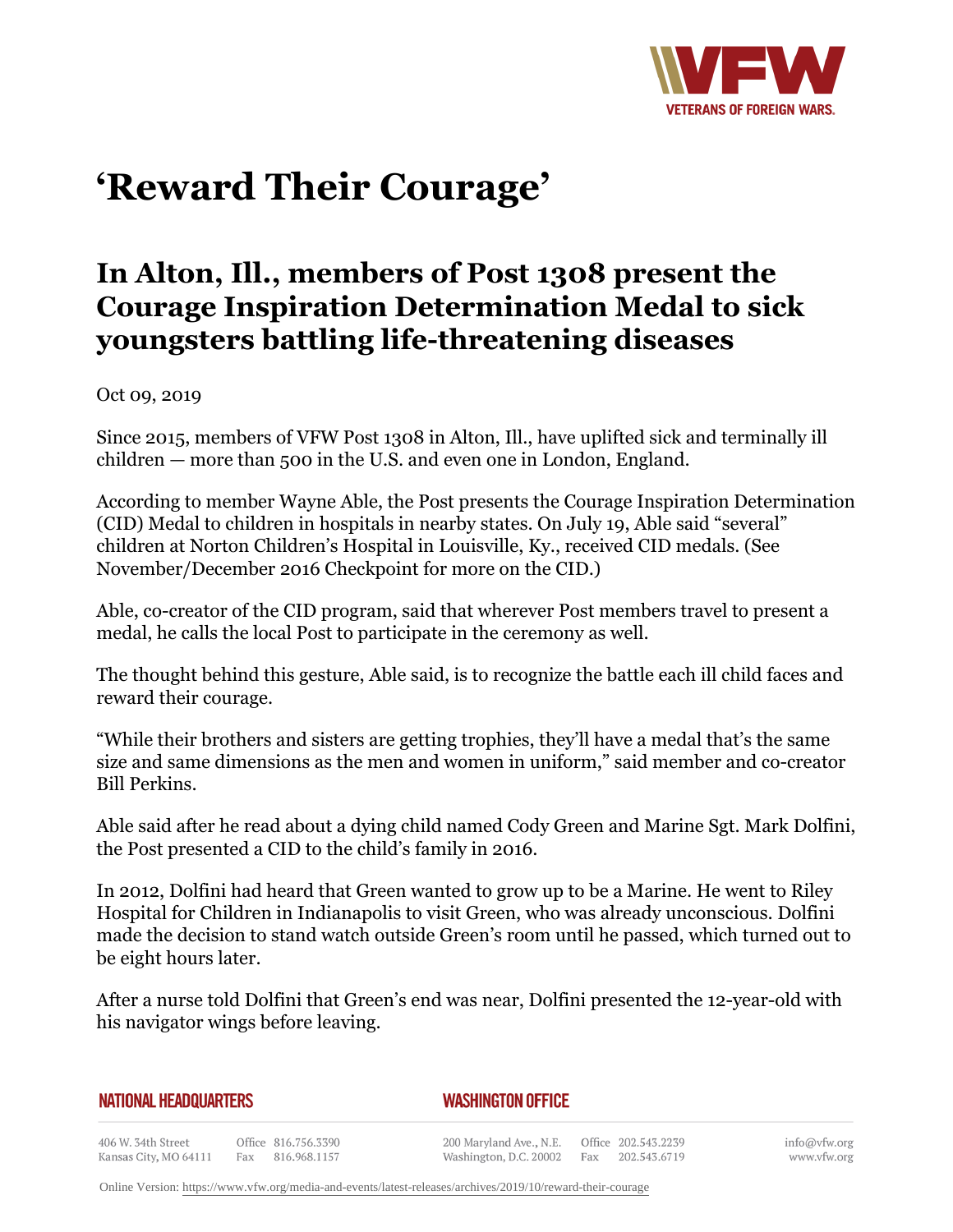

## **'Reward Their Courage'**

## **In Alton, Ill., members of Post 1308 present the Courage Inspiration Determination Medal to sick youngsters battling life-threatening diseases**

Oct 09, 2019

Since 2015, members of VFW Post 1308 in Alton, Ill., have uplifted sick and terminally ill children — more than 500 in the U.S. and even one in London, England.

According to member Wayne Able, the Post presents the Courage Inspiration Determination (CID) Medal to children in hospitals in nearby states. On July 19, Able said "several" children at Norton Children's Hospital in Louisville, Ky., received CID medals. (See November/December 2016 Checkpoint for more on the CID.)

Able, co-creator of the CID program, said that wherever Post members travel to present a medal, he calls the local Post to participate in the ceremony as well.

The thought behind this gesture, Able said, is to recognize the battle each ill child faces and reward their courage.

"While their brothers and sisters are getting trophies, they'll have a medal that's the same size and same dimensions as the men and women in uniform," said member and co-creator Bill Perkins.

Able said after he read about a dying child named Cody Green and Marine Sgt. Mark Dolfini, the Post presented a CID to the child's family in 2016.

In 2012, Dolfini had heard that Green wanted to grow up to be a Marine. He went to Riley Hospital for Children in Indianapolis to visit Green, who was already unconscious. Dolfini made the decision to stand watch outside Green's room until he passed, which turned out to be eight hours later.

After a nurse told Dolfini that Green's end was near, Dolfini presented the 12-year-old with his navigator wings before leaving.

## **NATIONAL HEADQUARTERS**

## *WASHINGTON OFFICE*

406 W. 34th Street Office 816.756.3390 Kansas City, MO 64111 Fax 816.968.1157

200 Maryland Ave., N.E. Washington, D.C. 20002

Office 202.543.2239 Fax 202.543.6719